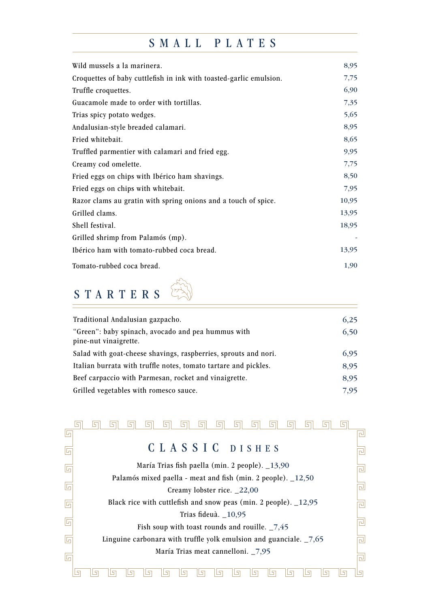## SMALL PLATES

| Wild mussels a la marinera.                                        | 8,95  |
|--------------------------------------------------------------------|-------|
| Croquettes of baby cuttlefish in ink with toasted-garlic emulsion. | 7,75  |
| Truffle croquettes.                                                | 6,90  |
| Guacamole made to order with tortillas.                            | 7,35  |
| Trias spicy potato wedges.                                         | 5,65  |
| Andalusian-style breaded calamari.                                 | 8,95  |
| Fried whitebait.                                                   | 8,65  |
| Truffled parmentier with calamari and fried egg.                   | 9,95  |
| Creamy cod omelette.                                               | 7,75  |
| Fried eggs on chips with Ibérico ham shavings.                     | 8,50  |
| Fried eggs on chips with whitebait.                                | 7,95  |
| Razor clams au gratin with spring onions and a touch of spice.     | 10,95 |
| Grilled clams.                                                     | 13,95 |
| Shell festival.                                                    | 18,95 |
| Grilled shrimp from Palamós (mp).                                  |       |
| Ibérico ham with tomato-rubbed coca bread.                         | 13,95 |
| Tomato-rubbed coca bread.                                          | 1,90  |
|                                                                    |       |

## STARTERS

| Traditional Andalusian gazpacho.                                | 6,25 |
|-----------------------------------------------------------------|------|
| "Green": baby spinach, avocado and pea hummus with              | 6,50 |
| pine-nut vinaigrette.                                           |      |
| Salad with goat-cheese shavings, raspberries, sprouts and nori. | 6,95 |
| Italian burrata with truffle notes, tomato tartare and pickles. | 8,95 |
| Beef carpaccio with Parmesan, rocket and vinaigrette.           | 8,95 |
| Grilled vegetables with romesco sauce.                          | 7.95 |